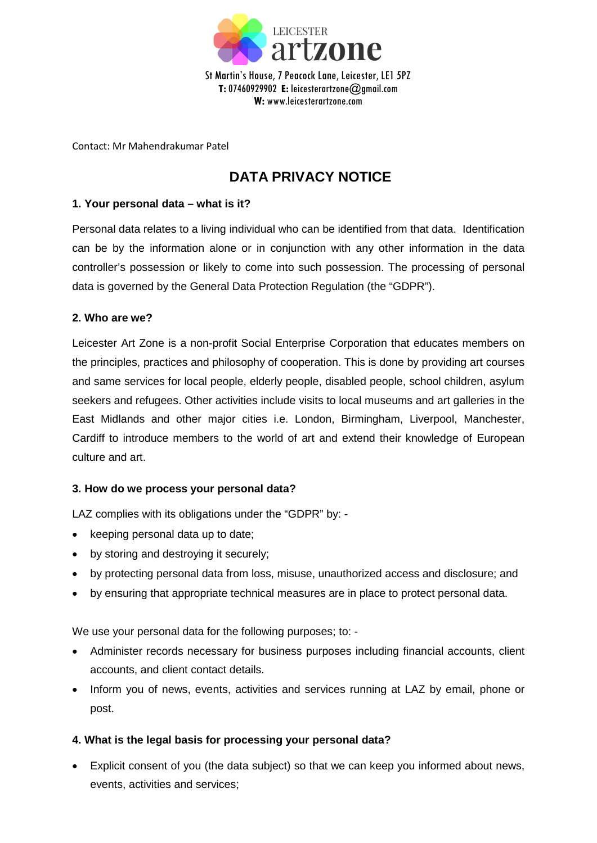

Contact: Mr Mahendrakumar Patel

# **DATA PRIVACY NOTICE**

## **1. Your personal data – what is it?**

Personal data relates to a living individual who can be identified from that data. Identification can be by the information alone or in conjunction with any other information in the data controller's possession or likely to come into such possession. The processing of personal data is governed by the General Data Protection Regulation (the "GDPR").

## **2. Who are we?**

Leicester Art Zone is a non-profit Social Enterprise Corporation that educates members on the principles, practices and philosophy of cooperation. This is done by providing art courses and same services for local people, elderly people, disabled people, school children, asylum seekers and refugees. Other activities include visits to local museums and art galleries in the East Midlands and other major cities i.e. London, Birmingham, Liverpool, Manchester, Cardiff to introduce members to the world of art and extend their knowledge of European culture and art.

### **3. How do we process your personal data?**

LAZ complies with its obligations under the "GDPR" by: -

- keeping personal data up to date;
- by storing and destroying it securely;
- by protecting personal data from loss, misuse, unauthorized access and disclosure; and
- by ensuring that appropriate technical measures are in place to protect personal data.

We use your personal data for the following purposes; to: -

- Administer records necessary for business purposes including financial accounts, client accounts, and client contact details.
- Inform you of news, events, activities and services running at LAZ by email, phone or post.

# **4. What is the legal basis for processing your personal data?**

• Explicit consent of you (the data subject) so that we can keep you informed about news, events, activities and services;